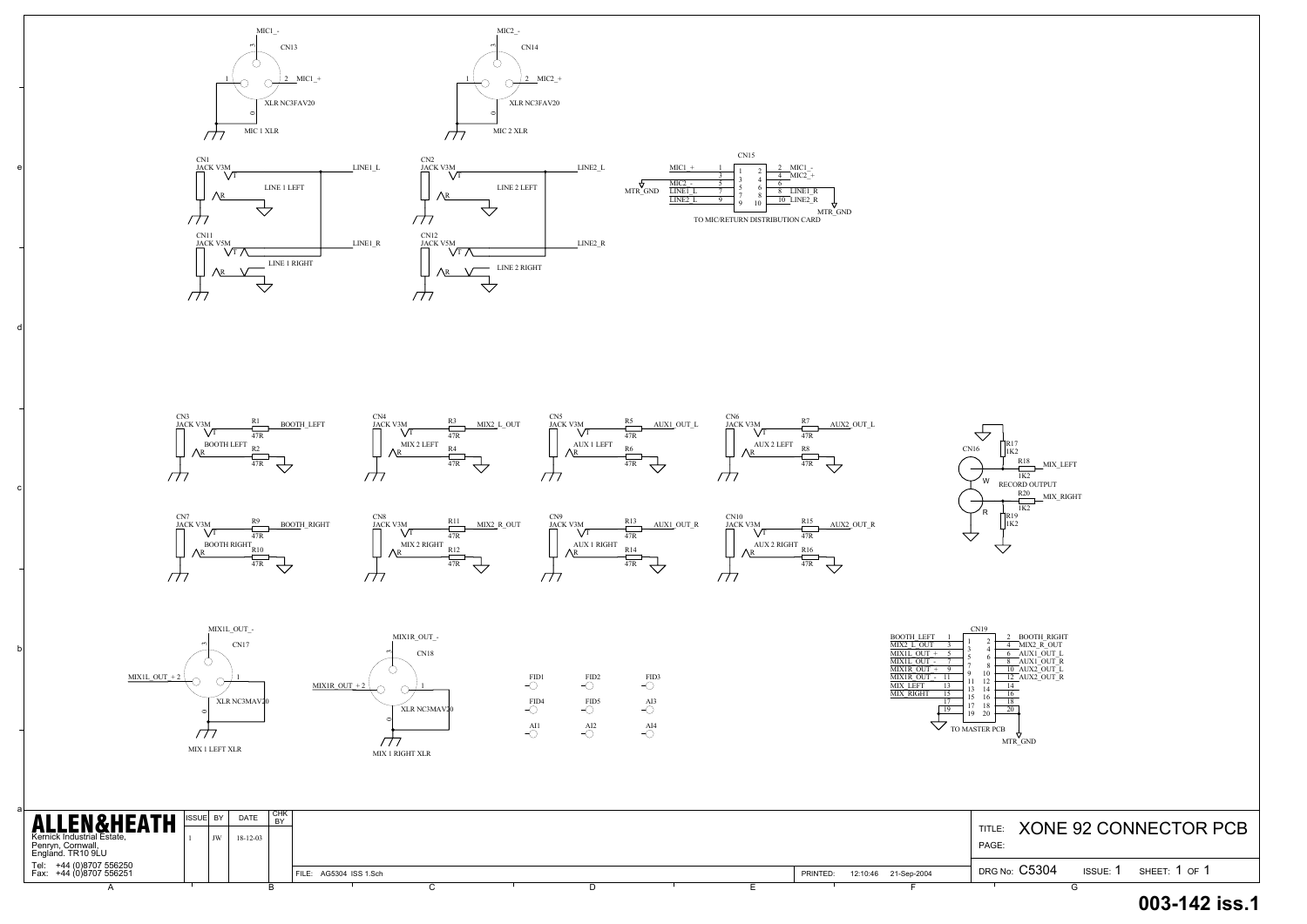XONE 92 CONNECTOR PCB

a

b

c

d

e

CN16

 $\triangle$ 





| <b>ALLEN&amp;HEATH</b><br>Kernick Industrial Estate,<br>Penryn, Cornwall,<br>England. TR10 9LU | ISSUE BY | <b>DATE</b><br>18-12-03 | I CHK<br><b>DV</b> |                        |  |  |          |                      | <b>TITLE</b><br>PAGE: |        | <b>XONE 92 CONNECTOR I</b> |
|------------------------------------------------------------------------------------------------|----------|-------------------------|--------------------|------------------------|--|--|----------|----------------------|-----------------------|--------|----------------------------|
| Tel: +44 (0)8707 556250<br>Fax: +44 (0)8707 556251                                             |          |                         |                    | FILE: AG5304 ISS 1.Sch |  |  | PRINTED: | 12:10:46 21-Sep-2004 | DRG No: C5304         | ISSUE: | SHEET: 1 OF 1              |
|                                                                                                |          |                         |                    |                        |  |  |          |                      |                       |        |                            |













 $\sqrt{7}$ 





## **003-142 iss.1**